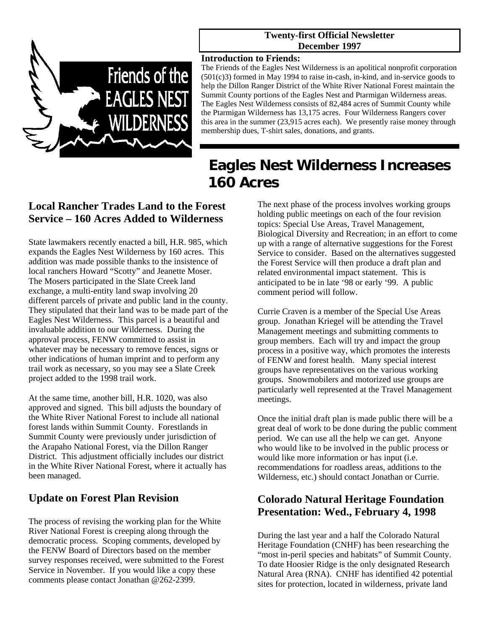

#### **Twenty-first Official Newsletter December 1997**

#### **Introduction to Friends:**

The Friends of the Eagles Nest Wilderness is an apolitical nonprofit corporation (501(c)3) formed in May 1994 to raise in-cash, in-kind, and in-service goods to help the Dillon Ranger District of the White River National Forest maintain the Summit County portions of the Eagles Nest and Ptarmigan Wilderness areas. The Eagles Nest Wilderness consists of 82,484 acres of Summit County while the Ptarmigan Wilderness has 13,175 acres. Four Wilderness Rangers cover this area in the summer (23,915 acres each). We presently raise money through membership dues, T-shirt sales, donations, and grants.

# **Eagles Nest Wilderness Increases 160 Acres**

## **Local Rancher Trades Land to the Forest Service – 160 Acres Added to Wilderness**

State lawmakers recently enacted a bill, H.R. 985, which expands the Eagles Nest Wilderness by 160 acres. This addition was made possible thanks to the insistence of local ranchers Howard "Scotty" and Jeanette Moser. The Mosers participated in the Slate Creek land exchange, a multi-entity land swap involving 20 different parcels of private and public land in the county. They stipulated that their land was to be made part of the Eagles Nest Wilderness. This parcel is a beautiful and invaluable addition to our Wilderness. During the approval process, FENW committed to assist in whatever may be necessary to remove fences, signs or other indications of human imprint and to perform any trail work as necessary, so you may see a Slate Creek project added to the 1998 trail work.

At the same time, another bill, H.R. 1020, was also approved and signed. This bill adjusts the boundary of the White River National Forest to include all national forest lands within Summit County. Forestlands in Summit County were previously under jurisdiction of the Arapaho National Forest, via the Dillon Ranger District. This adjustment officially includes our district in the White River National Forest, where it actually has been managed.

## **Update on Forest Plan Revision**

The process of revising the working plan for the White River National Forest is creeping along through the democratic process. Scoping comments, developed by the FENW Board of Directors based on the member survey responses received, were submitted to the Forest Service in November. If you would like a copy these comments please contact Jonathan @262-2399.

The next phase of the process involves working groups holding public meetings on each of the four revision topics: Special Use Areas, Travel Management, Biological Diversity and Recreation; in an effort to come up with a range of alternative suggestions for the Forest Service to consider. Based on the alternatives suggested the Forest Service will then produce a draft plan and related environmental impact statement. This is anticipated to be in late '98 or early '99. A public comment period will follow.

Currie Craven is a member of the Special Use Areas group. Jonathan Kriegel will be attending the Travel Management meetings and submitting comments to group members. Each will try and impact the group process in a positive way, which promotes the interests of FENW and forest health. Many special interest groups have representatives on the various working groups. Snowmobilers and motorized use groups are particularly well represented at the Travel Management meetings.

Once the initial draft plan is made public there will be a great deal of work to be done during the public comment period. We can use all the help we can get. Anyone who would like to be involved in the public process or would like more information or has input (i.e. recommendations for roadless areas, additions to the Wilderness, etc.) should contact Jonathan or Currie.

## **Colorado Natural Heritage Foundation Presentation: Wed., February 4, 1998**

During the last year and a half the Colorado Natural Heritage Foundation (CNHF) has been researching the "most in-peril species and habitats" of Summit County. To date Hoosier Ridge is the only designated Research Natural Area (RNA). CNHF has identified 42 potential sites for protection, located in wilderness, private land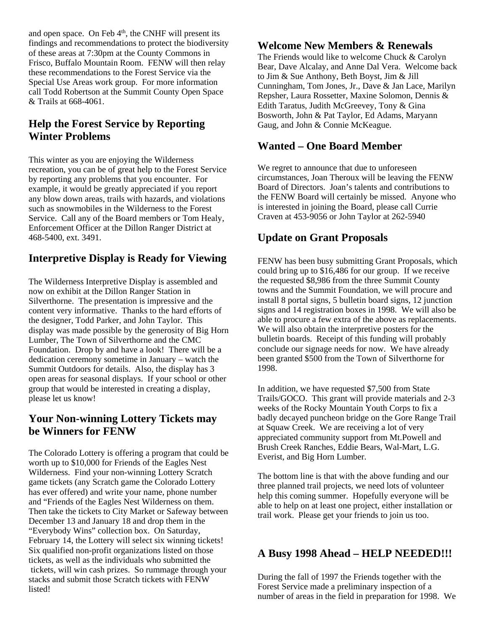and open space. On Feb  $4<sup>th</sup>$ , the CNHF will present its findings and recommendations to protect the biodiversity of these areas at 7:30pm at the County Commons in Frisco, Buffalo Mountain Room. FENW will then relay these recommendations to the Forest Service via the Special Use Areas work group. For more information call Todd Robertson at the Summit County Open Space & Trails at 668-4061.

## **Help the Forest Service by Reporting Winter Problems**

This winter as you are enjoying the Wilderness recreation, you can be of great help to the Forest Service by reporting any problems that you encounter. For example, it would be greatly appreciated if you report any blow down areas, trails with hazards, and violations such as snowmobiles in the Wilderness to the Forest Service. Call any of the Board members or Tom Healy, Enforcement Officer at the Dillon Ranger District at 468-5400, ext. 3491.

#### **Interpretive Display is Ready for Viewing**

The Wilderness Interpretive Display is assembled and now on exhibit at the Dillon Ranger Station in Silverthorne. The presentation is impressive and the content very informative. Thanks to the hard efforts of the designer, Todd Parker, and John Taylor. This display was made possible by the generosity of Big Horn Lumber, The Town of Silverthorne and the CMC Foundation. Drop by and have a look! There will be a dedication ceremony sometime in January – watch the Summit Outdoors for details. Also, the display has 3 open areas for seasonal displays. If your school or other group that would be interested in creating a display, please let us know!

#### **Your Non-winning Lottery Tickets may be Winners for FENW**

The Colorado Lottery is offering a program that could be worth up to \$10,000 for Friends of the Eagles Nest Wilderness. Find your non-winning Lottery Scratch game tickets (any Scratch game the Colorado Lottery has ever offered) and write your name, phone number and "Friends of the Eagles Nest Wilderness on them. Then take the tickets to City Market or Safeway between December 13 and January 18 and drop them in the "Everybody Wins" collection box. On Saturday, February 14, the Lottery will select six winning tickets! Six qualified non-profit organizations listed on those tickets, as well as the individuals who submitted the tickets, will win cash prizes. So rummage through your stacks and submit those Scratch tickets with FENW listed!

#### **Welcome New Members & Renewals**

The Friends would like to welcome Chuck & Carolyn Bear, Dave Alcalay, and Anne Dal Vera. Welcome back to Jim & Sue Anthony, Beth Boyst, Jim & Jill Cunningham, Tom Jones, Jr., Dave & Jan Lace, Marilyn Repsher, Laura Rossetter, Maxine Solomon, Dennis & Edith Taratus, Judith McGreevey, Tony & Gina Bosworth, John & Pat Taylor, Ed Adams, Maryann Gaug, and John & Connie McKeague.

#### **Wanted – One Board Member**

We regret to announce that due to unforeseen circumstances, Joan Theroux will be leaving the FENW Board of Directors. Joan's talents and contributions to the FENW Board will certainly be missed. Anyone who is interested in joining the Board, please call Currie Craven at 453-9056 or John Taylor at 262-5940

#### **Update on Grant Proposals**

FENW has been busy submitting Grant Proposals, which could bring up to \$16,486 for our group. If we receive the requested \$8,986 from the three Summit County towns and the Summit Foundation, we will procure and install 8 portal signs, 5 bulletin board signs, 12 junction signs and 14 registration boxes in 1998. We will also be able to procure a few extra of the above as replacements. We will also obtain the interpretive posters for the bulletin boards. Receipt of this funding will probably conclude our signage needs for now. We have already been granted \$500 from the Town of Silverthorne for 1998.

In addition, we have requested \$7,500 from State Trails/GOCO. This grant will provide materials and 2-3 weeks of the Rocky Mountain Youth Corps to fix a badly decayed puncheon bridge on the Gore Range Trail at Squaw Creek. We are receiving a lot of very appreciated community support from Mt.Powell and Brush Creek Ranches, Eddie Bears, Wal-Mart, L.G. Everist, and Big Horn Lumber.

The bottom line is that with the above funding and our three planned trail projects, we need lots of volunteer help this coming summer. Hopefully everyone will be able to help on at least one project, either installation or trail work. Please get your friends to join us too.

#### **A Busy 1998 Ahead – HELP NEEDED!!!**

During the fall of 1997 the Friends together with the Forest Service made a preliminary inspection of a number of areas in the field in preparation for 1998. We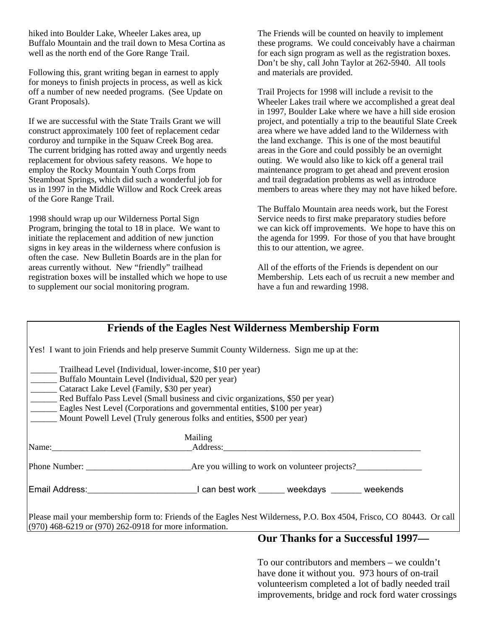hiked into Boulder Lake, Wheeler Lakes area, up Buffalo Mountain and the trail down to Mesa Cortina as well as the north end of the Gore Range Trail.

Following this, grant writing began in earnest to apply for moneys to finish projects in process, as well as kick off a number of new needed programs. (See Update on Grant Proposals).

If we are successful with the State Trails Grant we will construct approximately 100 feet of replacement cedar corduroy and turnpike in the Squaw Creek Bog area. The current bridging has rotted away and urgently needs replacement for obvious safety reasons. We hope to employ the Rocky Mountain Youth Corps from Steamboat Springs, which did such a wonderful job for us in 1997 in the Middle Willow and Rock Creek areas of the Gore Range Trail.

1998 should wrap up our Wilderness Portal Sign Program, bringing the total to 18 in place. We want to initiate the replacement and addition of new junction signs in key areas in the wilderness where confusion is often the case. New Bulletin Boards are in the plan for areas currently without. New "friendly" trailhead registration boxes will be installed which we hope to use to supplement our social monitoring program.

The Friends will be counted on heavily to implement these programs. We could conceivably have a chairman for each sign program as well as the registration boxes. Don't be shy, call John Taylor at 262-5940. All tools and materials are provided.

Trail Projects for 1998 will include a revisit to the Wheeler Lakes trail where we accomplished a great deal in 1997, Boulder Lake where we have a hill side erosion project, and potentially a trip to the beautiful Slate Creek area where we have added land to the Wilderness with the land exchange. This is one of the most beautiful areas in the Gore and could possibly be an overnight outing. We would also like to kick off a general trail maintenance program to get ahead and prevent erosion and trail degradation problems as well as introduce members to areas where they may not have hiked before.

The Buffalo Mountain area needs work, but the Forest Service needs to first make preparatory studies before we can kick off improvements. We hope to have this on the agenda for 1999. For those of you that have brought this to our attention, we agree.

All of the efforts of the Friends is dependent on our Membership. Lets each of us recruit a new member and have a fun and rewarding 1998.

| <b>Friends of the Eagles Nest Wilderness Membership Form</b>                                                                                                                                                                                                                                                                                                                                                        |                                   |
|---------------------------------------------------------------------------------------------------------------------------------------------------------------------------------------------------------------------------------------------------------------------------------------------------------------------------------------------------------------------------------------------------------------------|-----------------------------------|
| Yes! I want to join Friends and help preserve Summit County Wilderness. Sign me up at the:                                                                                                                                                                                                                                                                                                                          |                                   |
| Trailhead Level (Individual, lower-income, \$10 per year)<br>Buffalo Mountain Level (Individual, \$20 per year)<br>__________ Cataract Lake Level (Family, \$30 per year)<br>Red Buffalo Pass Level (Small business and civic organizations, \$50 per year)<br>Eagles Nest Level (Corporations and governmental entities, \$100 per year)<br>Mount Powell Level (Truly generous folks and entities, \$500 per year) |                                   |
|                                                                                                                                                                                                                                                                                                                                                                                                                     | Mailing                           |
|                                                                                                                                                                                                                                                                                                                                                                                                                     | Name: Address: Address:           |
|                                                                                                                                                                                                                                                                                                                                                                                                                     |                                   |
|                                                                                                                                                                                                                                                                                                                                                                                                                     |                                   |
| Please mail your membership form to: Friends of the Eagles Nest Wilderness, P.O. Box 4504, Frisco, CO 80443. Or call<br>$(970)$ 468-6219 or $(970)$ 262-0918 for more information.                                                                                                                                                                                                                                  |                                   |
|                                                                                                                                                                                                                                                                                                                                                                                                                     | Our Thanks for a Successful 1997- |

To our contributors and members – we couldn't have done it without you. 973 hours of on-trail volunteerism completed a lot of badly needed trail improvements, bridge and rock ford water crossings